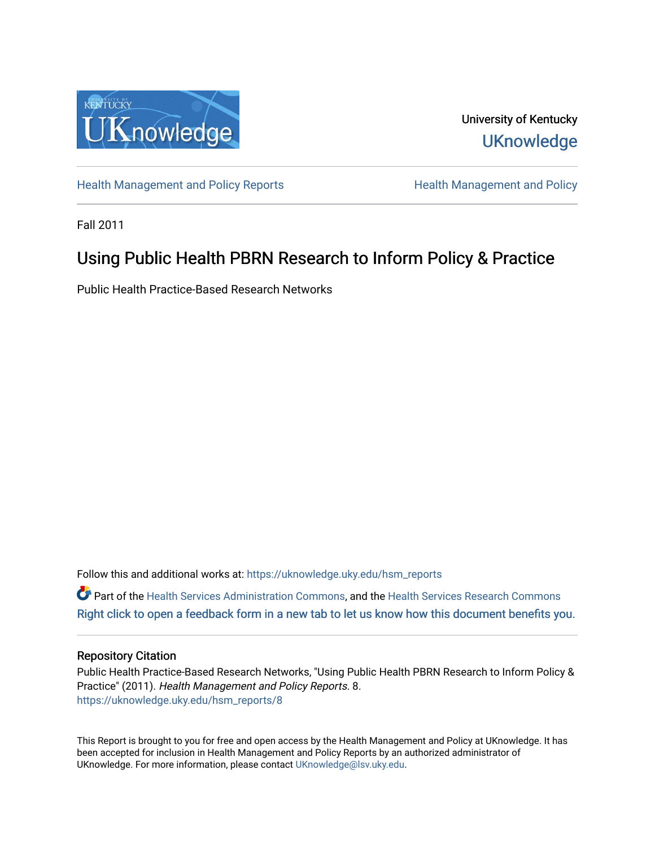

University of Kentucky **UKnowledge** 

[Health Management and Policy Reports](https://uknowledge.uky.edu/hsm_reports) **Health Management and Policy Health Management and Policy** 

Fall 2011

# Using Public Health PBRN Research to Inform Policy & Practice

Public Health Practice-Based Research Networks

Follow this and additional works at: [https://uknowledge.uky.edu/hsm\\_reports](https://uknowledge.uky.edu/hsm_reports?utm_source=uknowledge.uky.edu%2Fhsm_reports%2F8&utm_medium=PDF&utm_campaign=PDFCoverPages)

Part of the [Health Services Administration Commons,](http://network.bepress.com/hgg/discipline/747?utm_source=uknowledge.uky.edu%2Fhsm_reports%2F8&utm_medium=PDF&utm_campaign=PDFCoverPages) and the [Health Services Research Commons](http://network.bepress.com/hgg/discipline/816?utm_source=uknowledge.uky.edu%2Fhsm_reports%2F8&utm_medium=PDF&utm_campaign=PDFCoverPages) [Right click to open a feedback form in a new tab to let us know how this document benefits you.](https://uky.az1.qualtrics.com/jfe/form/SV_9mq8fx2GnONRfz7)

#### Repository Citation

Public Health Practice-Based Research Networks, "Using Public Health PBRN Research to Inform Policy & Practice" (2011). Health Management and Policy Reports. 8. [https://uknowledge.uky.edu/hsm\\_reports/8](https://uknowledge.uky.edu/hsm_reports/8?utm_source=uknowledge.uky.edu%2Fhsm_reports%2F8&utm_medium=PDF&utm_campaign=PDFCoverPages)

This Report is brought to you for free and open access by the Health Management and Policy at UKnowledge. It has been accepted for inclusion in Health Management and Policy Reports by an authorized administrator of UKnowledge. For more information, please contact [UKnowledge@lsv.uky.edu](mailto:UKnowledge@lsv.uky.edu).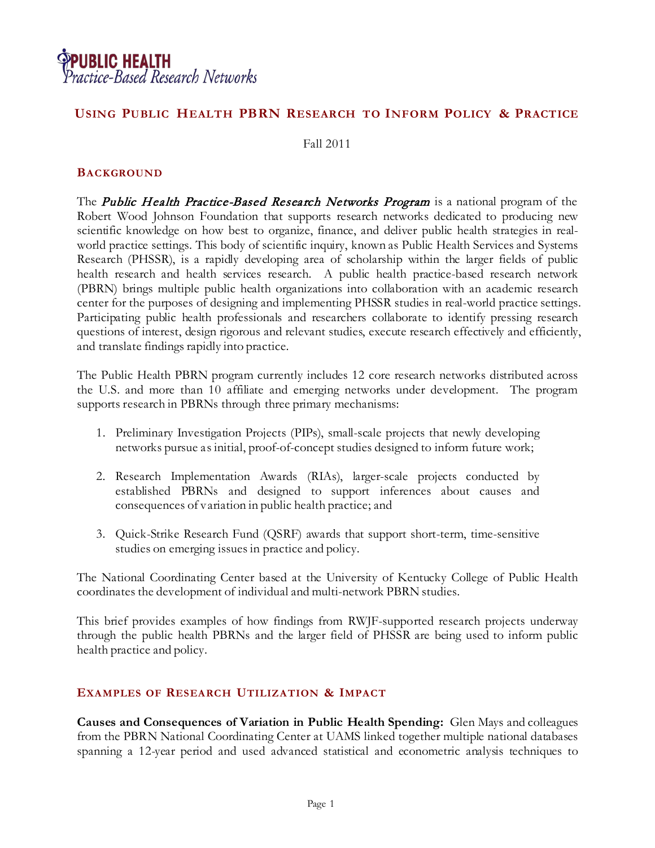

# **USING PUBLIC HEALTH PBRN RESEARCH TO INFORM POLICY & PRACTICE**

Fall 2011

#### **BACKGROUND**

The *Public Health Practice-Based Research Networks Program* is a national program of the Robert Wood Johnson Foundation that supports research networks dedicated to producing new scientific knowledge on how best to organize, finance, and deliver public health strategies in realworld practice settings. This body of scientific inquiry, known as Public Health Services and Systems Research (PHSSR), is a rapidly developing area of scholarship within the larger fields of public health research and health services research. A public health practice-based research network (PBRN) brings multiple public health organizations into collaboration with an academic research center for the purposes of designing and implementing PHSSR studies in real-world practice settings. Participating public health professionals and researchers collaborate to identify pressing research questions of interest, design rigorous and relevant studies, execute research effectively and efficiently, and translate findings rapidly into practice.

The Public Health PBRN program currently includes 12 core research networks distributed across the U.S. and more than 10 affiliate and emerging networks under development. The program supports research in PBRNs through three primary mechanisms:

- 1. Preliminary Investigation Projects (PIPs), small-scale projects that newly developing networks pursue as initial, proof-of-concept studies designed to inform future work;
- 2. Research Implementation Awards (RIAs), larger-scale projects conducted by established PBRNs and designed to support inferences about causes and consequences of variation in public health practice; and
- 3. Quick-Strike Research Fund (QSRF) awards that support short-term, time-sensitive studies on emerging issues in practice and policy.

The National Coordinating Center based at the University of Kentucky College of Public Health coordinates the development of individual and multi-network PBRN studies.

This brief provides examples of how findings from RWJF-supported research projects underway through the public health PBRNs and the larger field of PHSSR are being used to inform public health practice and policy.

## **EXAMPLES OF RESEARCH UTILIZATION & IMPACT**

**Causes and Consequences of Variation in Public Health Spending:** Glen Mays and colleagues from the PBRN National Coordinating Center at UAMS linked together multiple national databases spanning a 12-year period and used advanced statistical and econometric analysis techniques to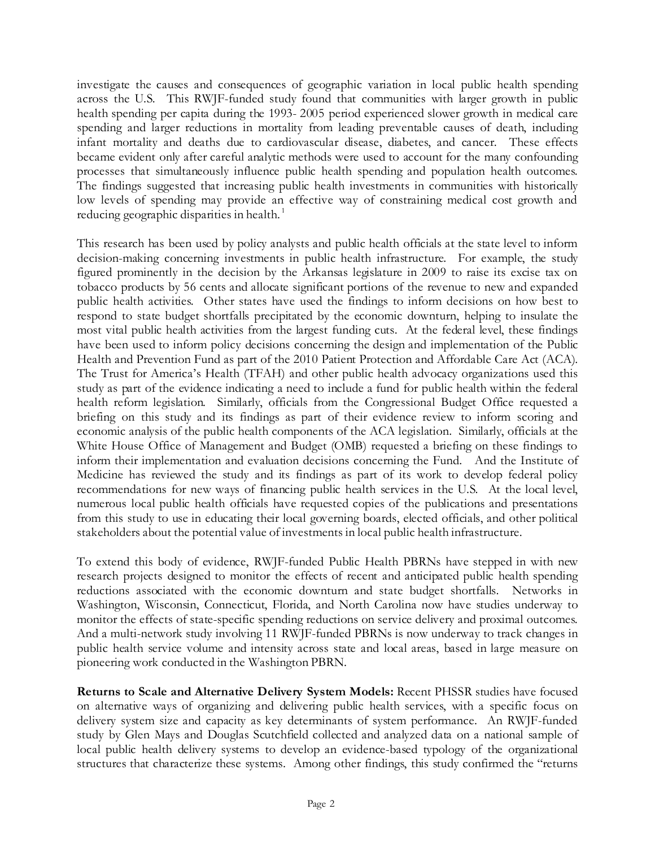investigate the causes and consequences of geographic variation in local public health spending across the U.S. This RWJF-funded study found that communities with larger growth in public health spending per capita during the 1993- 2005 period experienced slower growth in medical care spending and larger reductions in mortality from leading preventable causes of death, including infant mortality and deaths due to cardiovascular disease, diabetes, and cancer. These effects became evident only after careful analytic methods were used to account for the many confounding processes that simultaneously influence public health spending and population health outcomes. The findings suggested that increasing public health investments in communities with historically low levels of spending may provide an effective way of constraining medical cost growth and reducing geographic disparities in health.<sup>[1](#page-5-0)</sup>

This research has been used by policy analysts and public health officials at the state level to inform decision-making concerning investments in public health infrastructure. For example, the study figured prominently in the decision by the Arkansas legislature in 2009 to raise its excise tax on tobacco products by 56 cents and allocate significant portions of the revenue to new and expanded public health activities. Other states have used the findings to inform decisions on how best to respond to state budget shortfalls precipitated by the economic downturn, helping to insulate the most vital public health activities from the largest funding cuts. At the federal level, these findings have been used to inform policy decisions concerning the design and implementation of the Public Health and Prevention Fund as part of the 2010 Patient Protection and Affordable Care Act (ACA). The Trust for America's Health (TFAH) and other public health advocacy organizations used this study as part of the evidence indicating a need to include a fund for public health within the federal health reform legislation. Similarly, officials from the Congressional Budget Office requested a briefing on this study and its findings as part of their evidence review to inform scoring and economic analysis of the public health components of the ACA legislation. Similarly, officials at the White House Office of Management and Budget (OMB) requested a briefing on these findings to inform their implementation and evaluation decisions concerning the Fund. And the Institute of Medicine has reviewed the study and its findings as part of its work to develop federal policy recommendations for new ways of financing public health services in the U.S. At the local level, numerous local public health officials have requested copies of the publications and presentations from this study to use in educating their local governing boards, elected officials, and other political stakeholders about the potential value of investments in local public health infrastructure.

To extend this body of evidence, RWJF-funded Public Health PBRNs have stepped in with new research projects designed to monitor the effects of recent and anticipated public health spending reductions associated with the economic downturn and state budget shortfalls. Networks in Washington, Wisconsin, Connecticut, Florida, and North Carolina now have studies underway to monitor the effects of state-specific spending reductions on service delivery and proximal outcomes. And a multi-network study involving 11 RWJF-funded PBRNs is now underway to track changes in public health service volume and intensity across state and local areas, based in large measure on pioneering work conducted in the Washington PBRN.

**Returns to Scale and Alternative Delivery System Models:** Recent PHSSR studies have focused on alternative ways of organizing and delivering public health services, with a specific focus on delivery system size and capacity as key determinants of system performance. An RWJF-funded study by Glen Mays and Douglas Scutchfield collected and analyzed data on a national sample of local public health delivery systems to develop an evidence-based typology of the organizational structures that characterize these systems. Among other findings, this study confirmed the "returns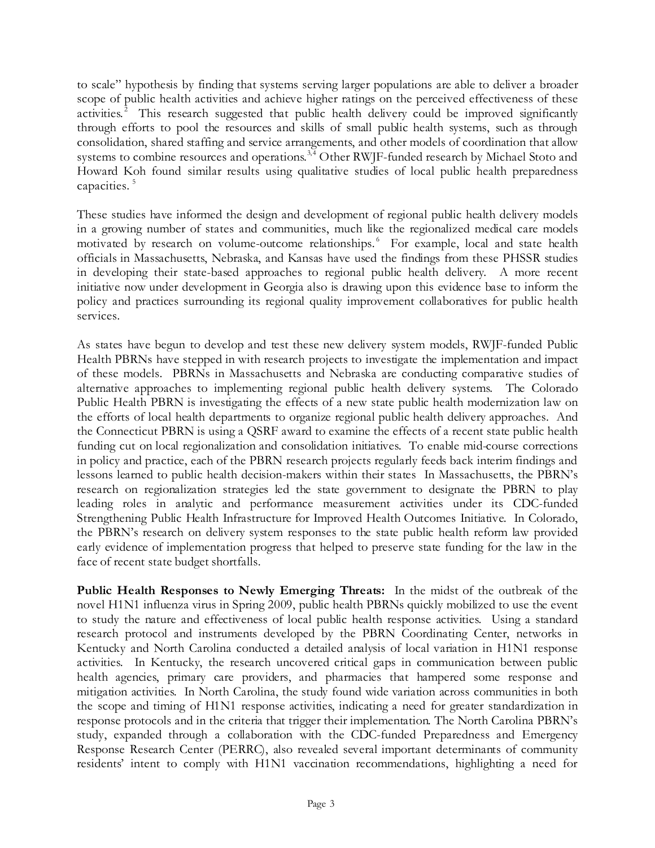to scale" hypothesis by finding that systems serving larger populations are able to deliver a broader scope of public health activities and achieve higher ratings on the perceived effectiveness of these activities.<sup>[2](#page-5-1)</sup> This research suggested that public health delivery could be improved significantly through efforts to pool the resources and skills of small public health systems, such as through consolidation, shared staffing and service arrangements, and other models of coordination that allow systems to combine resources and operations.<sup>[3](#page-5-2),[4](#page-5-3)</sup> Other RWJF-funded research by Michael Stoto and Howard Koh found similar results using qualitative studies of local public health preparedness capacities.<sup>[5](#page-5-4)</sup>

These studies have informed the design and development of regional public health delivery models in a growing number of states and communities, much like the regionalized medical care models motivated by research on volume-outcome relationships.<sup>[6](#page-5-5)</sup> For example, local and state health officials in Massachusetts, Nebraska, and Kansas have used the findings from these PHSSR studies in developing their state-based approaches to regional public health delivery. A more recent initiative now under development in Georgia also is drawing upon this evidence base to inform the policy and practices surrounding its regional quality improvement collaboratives for public health services.

As states have begun to develop and test these new delivery system models, RWJF-funded Public Health PBRNs have stepped in with research projects to investigate the implementation and impact of these models. PBRNs in Massachusetts and Nebraska are conducting comparative studies of alternative approaches to implementing regional public health delivery systems. The Colorado Public Health PBRN is investigating the effects of a new state public health modernization law on the efforts of local health departments to organize regional public health delivery approaches. And the Connecticut PBRN is using a QSRF award to examine the effects of a recent state public health funding cut on local regionalization and consolidation initiatives. To enable mid-course corrections in policy and practice, each of the PBRN research projects regularly feeds back interim findings and lessons learned to public health decision-makers within their states In Massachusetts, the PBRN's research on regionalization strategies led the state government to designate the PBRN to play leading roles in analytic and performance measurement activities under its CDC-funded Strengthening Public Health Infrastructure for Improved Health Outcomes Initiative. In Colorado, the PBRN's research on delivery system responses to the state public health reform law provided early evidence of implementation progress that helped to preserve state funding for the law in the face of recent state budget shortfalls.

**Public Health Responses to Newly Emerging Threats:** In the midst of the outbreak of the novel H1N1 influenza virus in Spring 2009, public health PBRNs quickly mobilized to use the event to study the nature and effectiveness of local public health response activities. Using a standard research protocol and instruments developed by the PBRN Coordinating Center, networks in Kentucky and North Carolina conducted a detailed analysis of local variation in H1N1 response activities. In Kentucky, the research uncovered critical gaps in communication between public health agencies, primary care providers, and pharmacies that hampered some response and mitigation activities. In North Carolina, the study found wide variation across communities in both the scope and timing of H1N1 response activities, indicating a need for greater standardization in response protocols and in the criteria that trigger their implementation. The North Carolina PBRN's study, expanded through a collaboration with the CDC-funded Preparedness and Emergency Response Research Center (PERRC), also revealed several important determinants of community residents' intent to comply with H1N1 vaccination recommendations, highlighting a need for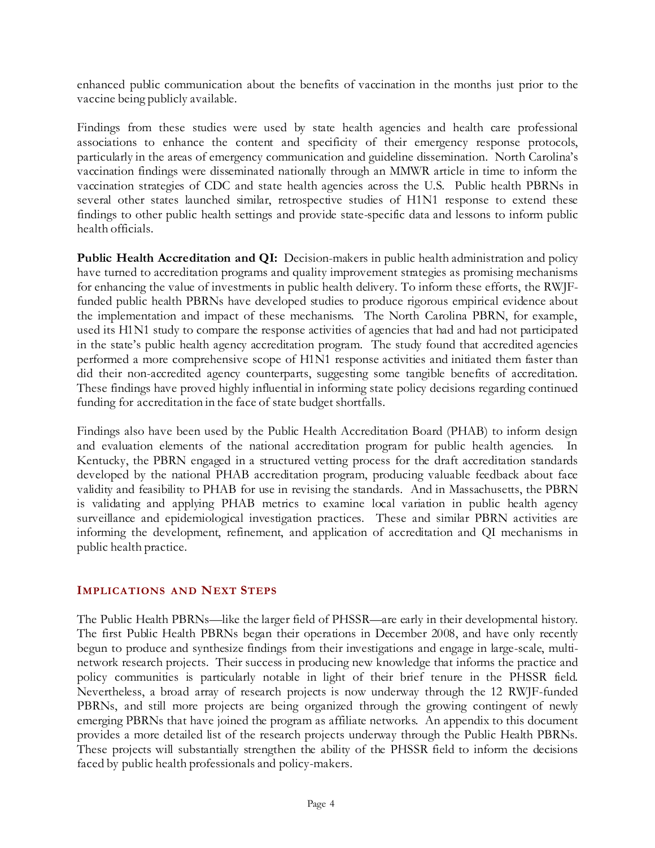enhanced public communication about the benefits of vaccination in the months just prior to the vaccine being publicly available.

Findings from these studies were used by state health agencies and health care professional associations to enhance the content and specificity of their emergency response protocols, particularly in the areas of emergency communication and guideline dissemination. North Carolina's vaccination findings were disseminated nationally through an MMWR article in time to inform the vaccination strategies of CDC and state health agencies across the U.S. Public health PBRNs in several other states launched similar, retrospective studies of H1N1 response to extend these findings to other public health settings and provide state-specific data and lessons to inform public health officials.

**Public Health Accreditation and QI:** Decision-makers in public health administration and policy have turned to accreditation programs and quality improvement strategies as promising mechanisms for enhancing the value of investments in public health delivery. To inform these efforts, the RWJFfunded public health PBRNs have developed studies to produce rigorous empirical evidence about the implementation and impact of these mechanisms. The North Carolina PBRN, for example, used its H1N1 study to compare the response activities of agencies that had and had not participated in the state's public health agency accreditation program. The study found that accredited agencies performed a more comprehensive scope of H1N1 response activities and initiated them faster than did their non-accredited agency counterparts, suggesting some tangible benefits of accreditation. These findings have proved highly influential in informing state policy decisions regarding continued funding for accreditation in the face of state budget shortfalls.

Findings also have been used by the Public Health Accreditation Board (PHAB) to inform design and evaluation elements of the national accreditation program for public health agencies. In Kentucky, the PBRN engaged in a structured vetting process for the draft accreditation standards developed by the national PHAB accreditation program, producing valuable feedback about face validity and feasibility to PHAB for use in revising the standards. And in Massachusetts, the PBRN is validating and applying PHAB metrics to examine local variation in public health agency surveillance and epidemiological investigation practices. These and similar PBRN activities are informing the development, refinement, and application of accreditation and QI mechanisms in public health practice.

## **IMPLICATIONS AND NEXT STEPS**

The Public Health PBRNs—like the larger field of PHSSR—are early in their developmental history. The first Public Health PBRNs began their operations in December 2008, and have only recently begun to produce and synthesize findings from their investigations and engage in large-scale, multinetwork research projects. Their success in producing new knowledge that informs the practice and policy communities is particularly notable in light of their brief tenure in the PHSSR field. Nevertheless, a broad array of research projects is now underway through the 12 RWJF-funded PBRNs, and still more projects are being organized through the growing contingent of newly emerging PBRNs that have joined the program as affiliate networks. An appendix to this document provides a more detailed list of the research projects underway through the Public Health PBRNs. These projects will substantially strengthen the ability of the PHSSR field to inform the decisions faced by public health professionals and policy-makers.